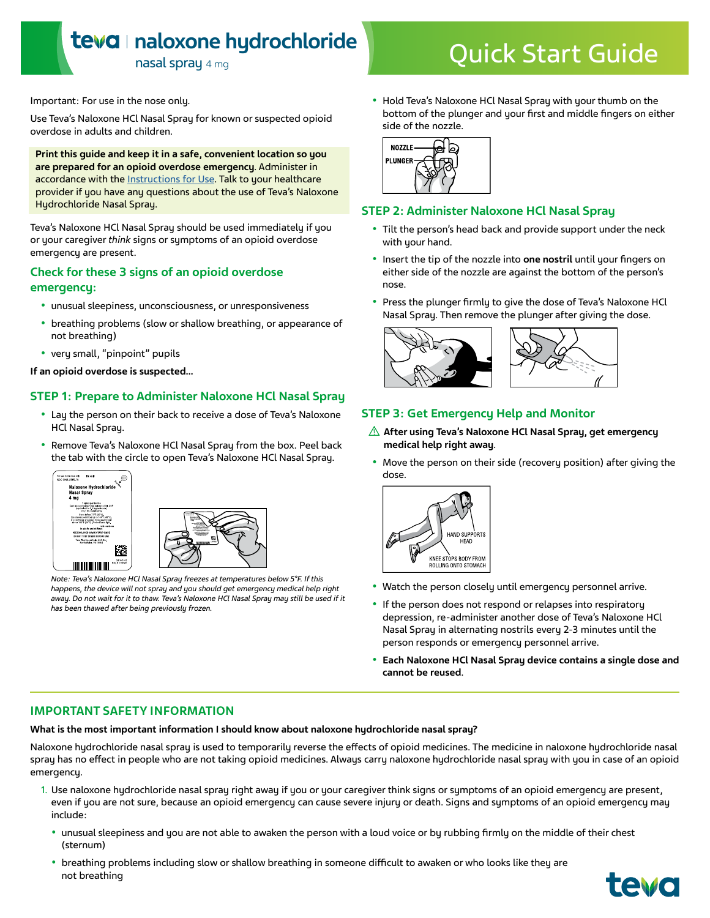## **naloxone hydrochloride**

# nasal spray 4 mg<br>nasal spray 4 mg

Important: For use in the nose only.

Use Teva's Naloxone HCl Nasal Spray for known or suspected opioid overdose in adults and children.

**Print this guide and keep it in a safe, convenient location so you are prepared for an opioid overdose emergency**. Administer in accordance with the [Instructions for Use](https://www.tevagenerics.com/globalassets/products/pdfs/tg-42766_naloxone-hydrochloride-nasal-spray-promotional-pi-for-use-electronically_final.pdf#page=6). Talk to your healthcare provider if you have any questions about the use of Teva's Naloxone Hydrochloride Nasal Spray.

Teva's Naloxone HCl Nasal Spray should be used immediately if you or your caregiver *think* signs or symptoms of an opioid overdose emergency are present.

## **Check for these 3 signs of an opioid overdose emergency:**

- unusual sleepiness, unconsciousness, or unresponsiveness
- breathing problems (slow or shallow breathing, or appearance of not breathing)
- very small, "pinpoint" pupils

**If an opioid overdose is suspected…**

## **STEP 1: Prepare to Administer Naloxone HCl Nasal Spray**

- Lay the person on their back to receive a dose of Teva's Naloxone HCl Nasal Spray.
- Remove Teva's Naloxone HCl Nasal Spray from the box. Peel back the tab with the circle to open Teva's Naloxone HCl Nasal Spray.





*Note: Teva's Naloxone HCl Nasal Spray freezes at temperatures below 5°F. If this happens, the device will not spray and you should get emergency medical help right away. Do not wait for it to thaw. Teva's Naloxone HCl Nasal Spray may still be used if it has been thawed after being previously frozen.*

• Hold Teva's Naloxone HCl Nasal Spray with your thumb on the bottom of the plunger and your first and middle fingers on either side of the nozzle.



### **STEP 2: Administer Naloxone HCl Nasal Spray**

- Tilt the person's head back and provide support under the neck with your hand.
- Insert the tip of the nozzle into **one nostril** until your fingers on either side of the nozzle are against the bottom of the person's nose.
- Press the plunger firmly to give the dose of Teva's Naloxone HCl Nasal Spray. Then remove the plunger after giving the dose.



## **STEP 3: Get Emergency Help and Monitor**

- **After using Teva's Naloxone HCl Nasal Spray, get emergency medical help right away**.
- Move the person on their side (recovery position) after giving the dose.



- Watch the person closely until emergency personnel arrive.
- If the person does not respond or relapses into respiratory depression, re-administer another dose of Teva's Naloxone HCl Nasal Spray in alternating nostrils every 2-3 minutes until the person responds or emergency personnel arrive.
- **Each Naloxone HCl Nasal Spray device contains a single dose and cannot be reused**.

## **IMPORTANT SAFETY INFORMATION**

**What is the most important information I should know about naloxone hydrochloride nasal spray?** 

Naloxone hydrochloride nasal spray is used to temporarily reverse the effects of opioid medicines. The medicine in naloxone hydrochloride nasal spray has no effect in people who are not taking opioid medicines. Always carry naloxone hydrochloride nasal spray with you in case of an opioid emergency.

- 1. Use naloxone hydrochloride nasal spray right away if you or your caregiver think signs or symptoms of an opioid emergency are present, even if you are not sure, because an opioid emergency can cause severe injury or death. Signs and symptoms of an opioid emergency may include:
	- unusual sleepiness and you are not able to awaken the person with a loud voice or by rubbing firmly on the middle of their chest (sternum)
	- breathing problems including slow or shallow breathing in someone difficult to awaken or who looks like they are not breathing